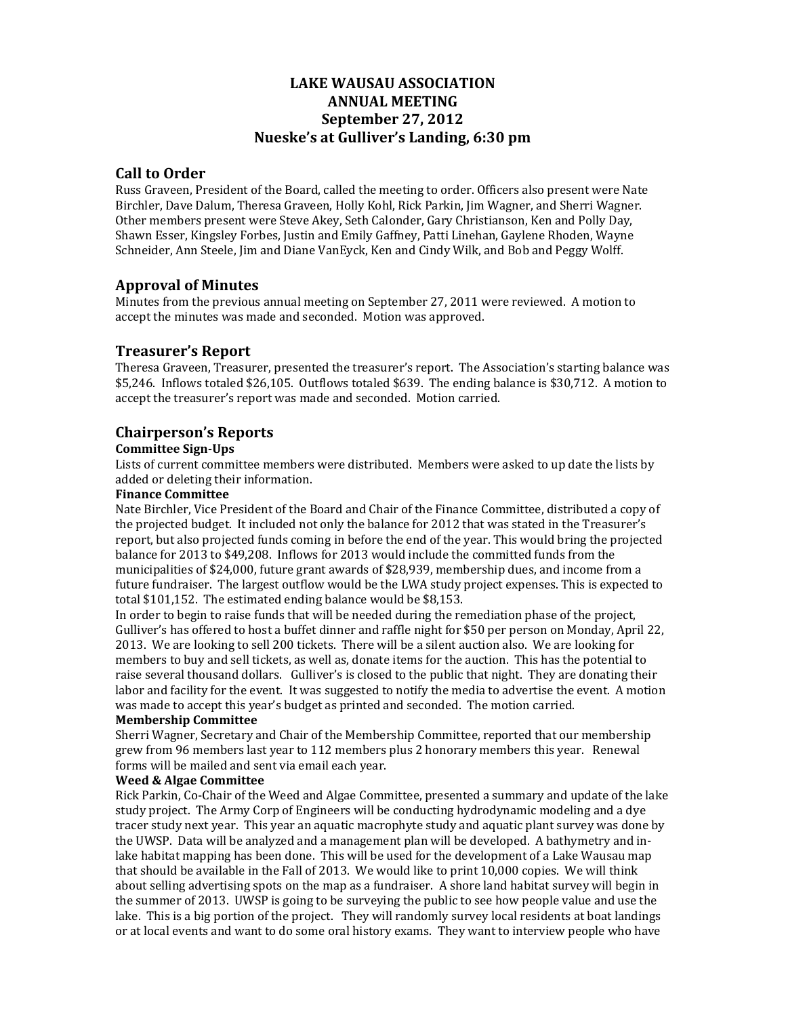# **LAKE WAUSAU ASSOCIATION ANNUAL MEETING September 27, 2012 Nueske's at Gulliver's Landing, 6:30 pm**

## **Call to Order**

Russ Graveen, President of the Board, called the meeting to order. Officers also present were Nate Birchler, Dave Dalum, Theresa Graveen, Holly Kohl, Rick Parkin, Jim Wagner, and Sherri Wagner. Other members present were Steve Akey, Seth Calonder, Gary Christianson, Ken and Polly Day, Shawn Esser, Kingsley Forbes, Justin and Emily Gaffney, Patti Linehan, Gaylene Rhoden, Wayne Schneider, Ann Steele, Jim and Diane VanEyck, Ken and Cindy Wilk, and Bob and Peggy Wolff.

# **Approval of Minutes**

Minutes from the previous annual meeting on September 27, 2011 were reviewed. A motion to accept the minutes was made and seconded. Motion was approved.

# **Treasurer's Report**

Theresa Graveen, Treasurer, presented the treasurer's report. The Association's starting balance was \$5,246. Inflows totaled \$26,105. Outflows totaled \$639. The ending balance is \$30,712. A motion to accept the treasurer's report was made and seconded. Motion carried.

# **Chairperson's Reports**

### **Committee Sign‐Ups**

Lists of current committee members were distributed. Members were asked to up date the lists by added or deleting their information.

### **Finance Committee**

Nate Birchler, Vice President of the Board and Chair of the Finance Committee, distributed a copy of the projected budget. It included not only the balance for 2012 that was stated in the Treasurer's report, but also projected funds coming in before the end of the year. This would bring the projected balance for 2013 to \$49,208. Inflows for 2013 would include the committed funds from the municipalities of \$24,000, future grant awards of \$28,939, membership dues, and income from a future fundraiser. The largest outflow would be the LWA study project expenses. This is expected to total  $$101,152$ . The estimated ending balance would be  $$8,153$ .

In order to begin to raise funds that will be needed during the remediation phase of the project, Gulliver's has offered to host a buffet dinner and raffle night for \$50 per person on Monday, April 22, 2013. We are looking to sell 200 tickets. There will be a silent auction also. We are looking for members to buy and sell tickets, as well as, donate items for the auction. This has the potential to raise several thousand dollars. Gulliver's is closed to the public that night. They are donating their labor and facility for the event. It was suggested to notify the media to advertise the event. A motion was made to accept this year's budget as printed and seconded. The motion carried.

# **Membership Committee**

Sherri Wagner, Secretary and Chair of the Membership Committee, reported that our membership grew from 96 members last year to 112 members plus 2 honorary members this year. Renewal forms will be mailed and sent via email each year.

### **Weed & Algae Committee**

Rick Parkin, Co-Chair of the Weed and Algae Committee, presented a summary and update of the lake study project. The Army Corp of Engineers will be conducting hydrodynamic modeling and a dye tracer study next year. This year an aquatic macrophyte study and aquatic plant survey was done by the UWSP. Data will be analyzed and a management plan will be developed. A bathymetry and inlake habitat mapping has been done. This will be used for the development of a Lake Wausau map that should be available in the Fall of 2013. We would like to print  $10,000$  copies. We will think about selling advertising spots on the map as a fundraiser. A shore land habitat survey will begin in the summer of 2013. UWSP is going to be surveying the public to see how people value and use the lake. This is a big portion of the project. They will randomly survey local residents at boat landings or at local events and want to do some oral history exams. They want to interview people who have